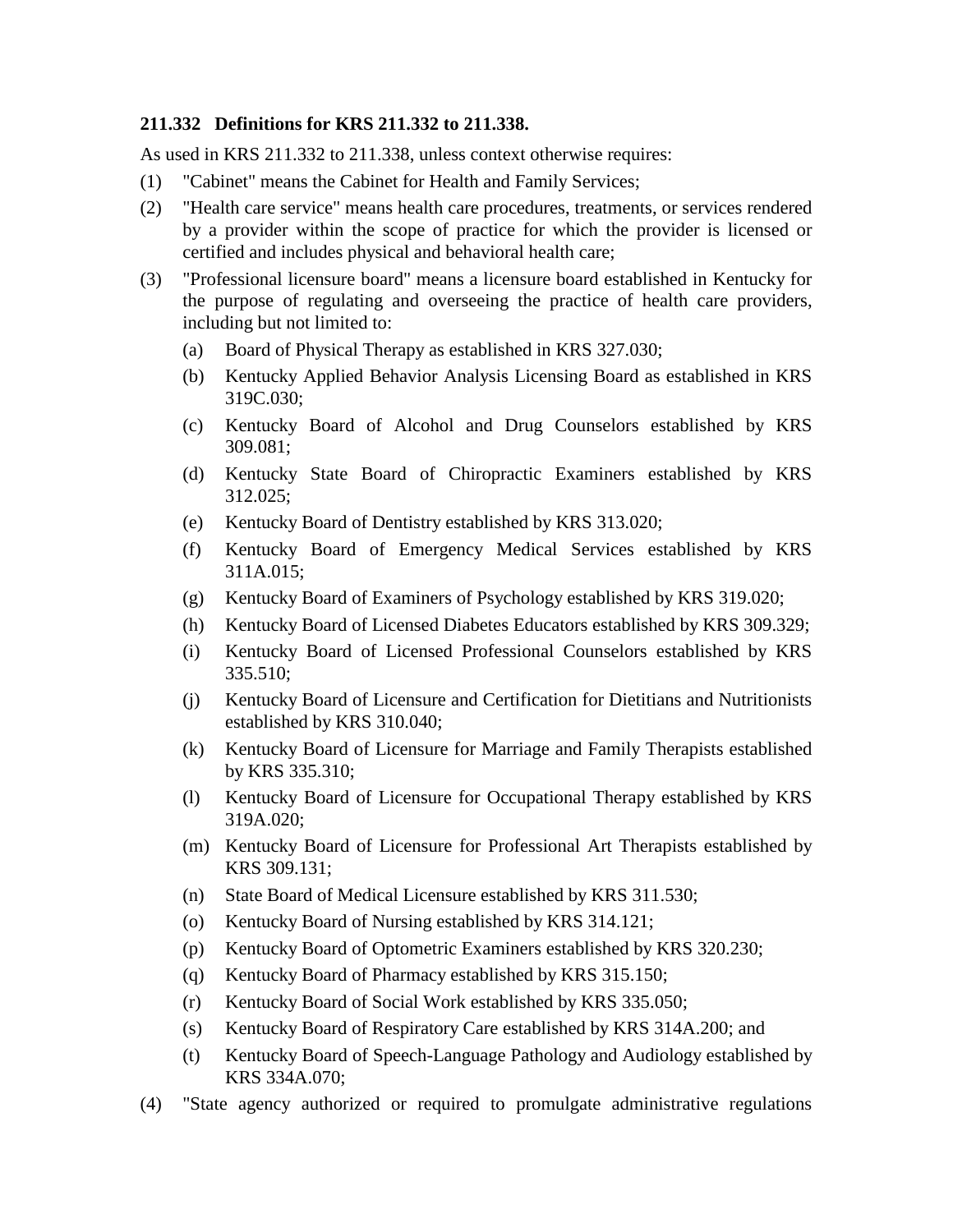## **211.332 Definitions for KRS 211.332 to 211.338.**

As used in KRS 211.332 to 211.338, unless context otherwise requires:

- (1) "Cabinet" means the Cabinet for Health and Family Services;
- (2) "Health care service" means health care procedures, treatments, or services rendered by a provider within the scope of practice for which the provider is licensed or certified and includes physical and behavioral health care;
- (3) "Professional licensure board" means a licensure board established in Kentucky for the purpose of regulating and overseeing the practice of health care providers, including but not limited to:
	- (a) Board of Physical Therapy as established in KRS 327.030;
	- (b) Kentucky Applied Behavior Analysis Licensing Board as established in KRS 319C.030;
	- (c) Kentucky Board of Alcohol and Drug Counselors established by KRS 309.081;
	- (d) Kentucky State Board of Chiropractic Examiners established by KRS 312.025;
	- (e) Kentucky Board of Dentistry established by KRS 313.020;
	- (f) Kentucky Board of Emergency Medical Services established by KRS 311A.015;
	- (g) Kentucky Board of Examiners of Psychology established by KRS 319.020;
	- (h) Kentucky Board of Licensed Diabetes Educators established by KRS 309.329;
	- (i) Kentucky Board of Licensed Professional Counselors established by KRS 335.510;
	- (j) Kentucky Board of Licensure and Certification for Dietitians and Nutritionists established by KRS 310.040;
	- (k) Kentucky Board of Licensure for Marriage and Family Therapists established by KRS 335.310;
	- (l) Kentucky Board of Licensure for Occupational Therapy established by KRS 319A.020;
	- (m) Kentucky Board of Licensure for Professional Art Therapists established by KRS 309.131;
	- (n) State Board of Medical Licensure established by KRS 311.530;
	- (o) Kentucky Board of Nursing established by KRS 314.121;
	- (p) Kentucky Board of Optometric Examiners established by KRS 320.230;
	- (q) Kentucky Board of Pharmacy established by KRS 315.150;
	- (r) Kentucky Board of Social Work established by KRS 335.050;
	- (s) Kentucky Board of Respiratory Care established by KRS 314A.200; and
	- (t) Kentucky Board of Speech-Language Pathology and Audiology established by KRS 334A.070;
- (4) "State agency authorized or required to promulgate administrative regulations